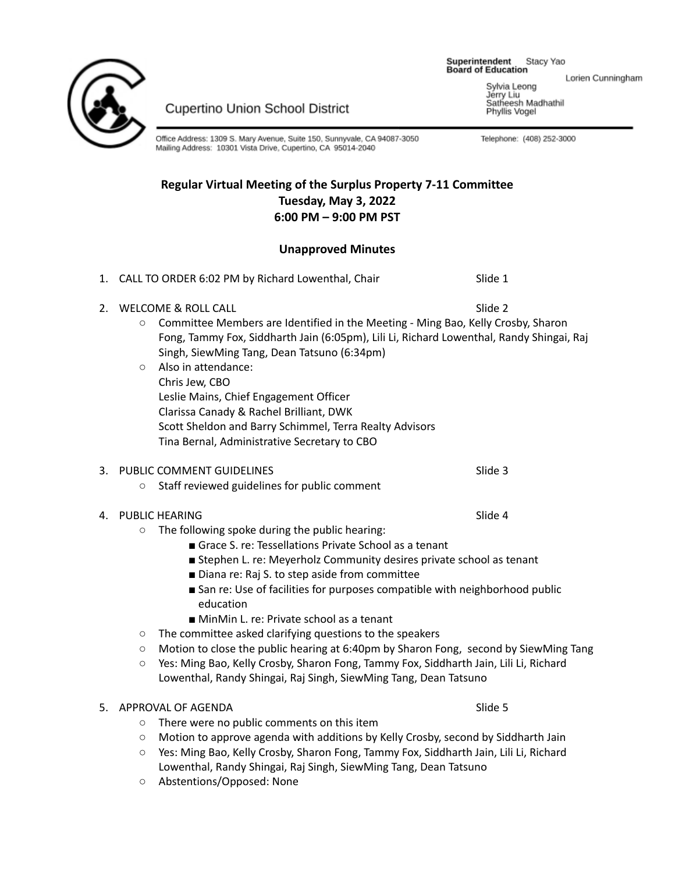Superintendent Stacy Yao **Board of Education** 

Lorien Cunningham

Sylvia Leong Jérry Liu Satheesh Madhathil Phyllis Vogel

Telephone: (408) 252-3000



**Cupertino Union School District** 

Office Address: 1309 S. Mary Avenue, Suite 150, Sunnyvale, CA 94087-3050 Mailing Address: 10301 Vista Drive, Cupertino, CA 95014-2040

# **Regular Virtual Meeting of the Surplus Property 7-11 Committee Tuesday, May 3, 2022 6:00 PM – 9:00 PM PST**

# **Unapproved Minutes**

1. CALL TO ORDER 6:02 PM by Richard Lowenthal, Chair Slide 1 2. WELCOME & ROLL CALL Superior and the contract of the contract of the contract of the contract of the contract of the contract of the contract of the contract of the contract of the contract of the contract of the contra ○ Committee Members are Identified in the Meeting - Ming Bao, Kelly Crosby, Sharon Fong, Tammy Fox, Siddharth Jain (6:05pm), Lili Li, Richard Lowenthal, Randy Shingai, Raj Singh, SiewMing Tang, Dean Tatsuno (6:34pm) ○ Also in attendance: Chris Jew, CBO Leslie Mains, Chief Engagement Officer Clarissa Canady & Rachel Brilliant, DWK Scott Sheldon and Barry Schimmel, Terra Realty Advisors Tina Bernal, Administrative Secretary to CBO 3. PUBLIC COMMENT GUIDELINES SUITE AND SIDE 3 ○ Staff reviewed guidelines for public comment 4. PUBLIC HEARING SALES AND SLIDE AND SLIDE 4 ○ The following spoke during the public hearing: ■ Grace S. re: Tessellations Private School as a tenant ■ Stephen L. re: Meyerholz Community desires private school as tenant ■ Diana re: Raj S. to step aside from committee ■ San re: Use of facilities for purposes compatible with neighborhood public education ■ MinMin L. re: Private school as a tenant ○ The committee asked clarifying questions to the speakers ○ Motion to close the public hearing at 6:40pm by Sharon Fong, second by SiewMing Tang ○ Yes: Ming Bao, Kelly Crosby, Sharon Fong, Tammy Fox, Siddharth Jain, Lili Li, Richard Lowenthal, Randy Shingai, Raj Singh, SiewMing Tang, Dean Tatsuno 5. APPROVAL OF AGENDA SOLUTION AND SLIDE 5 ○ There were no public comments on this item ○ Motion to approve agenda with additions by Kelly Crosby, second by Siddharth Jain ○ Yes: Ming Bao, Kelly Crosby, Sharon Fong, Tammy Fox, Siddharth Jain, Lili Li, Richard Lowenthal, Randy Shingai, Raj Singh, SiewMing Tang, Dean Tatsuno

○ Abstentions/Opposed: None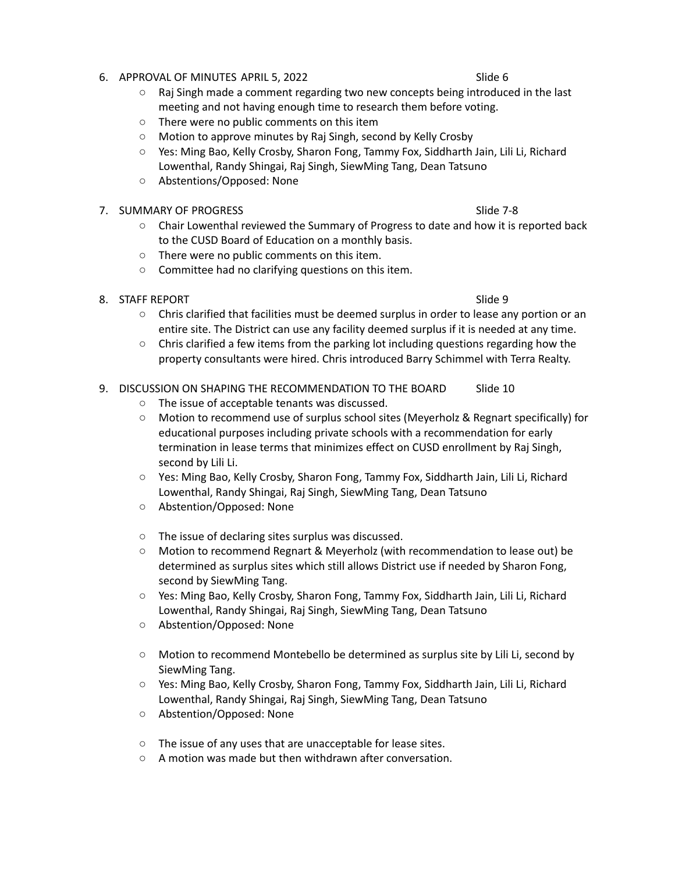- 6. APPROVAL OF MINUTES APRIL 5, 2022 Slide 6
	- $\circ$  Raj Singh made a comment regarding two new concepts being introduced in the last meeting and not having enough time to research them before voting.
	- There were no public comments on this item
	- Motion to approve minutes by Raj Singh, second by Kelly Crosby
	- Yes: Ming Bao, Kelly Crosby, Sharon Fong, Tammy Fox, Siddharth Jain, Lili Li, Richard Lowenthal, Randy Shingai, Raj Singh, SiewMing Tang, Dean Tatsuno
	- Abstentions/Opposed: None
- 7. SUMMARY OF PROGRESS STATES AND THE SUMMARY OF PROGRESS
	- Chair Lowenthal reviewed the Summary of Progress to date and how it is reported back to the CUSD Board of Education on a monthly basis.
	- There were no public comments on this item.
	- Committee had no clarifying questions on this item.
- 8. STAFF REPORT Slide 9
	-
	- Chris clarified that facilities must be deemed surplus in order to lease any portion or an entire site. The District can use any facility deemed surplus if it is needed at any time.
	- Chris clarified a few items from the parking lot including questions regarding how the property consultants were hired. Chris introduced Barry Schimmel with Terra Realty.

## 9. DISCUSSION ON SHAPING THE RECOMMENDATION TO THE BOARD Slide 10

- The issue of acceptable tenants was discussed.
- Motion to recommend use of surplus school sites (Meyerholz & Regnart specifically) for educational purposes including private schools with a recommendation for early termination in lease terms that minimizes effect on CUSD enrollment by Raj Singh, second by Lili Li.
- Yes: Ming Bao, Kelly Crosby, Sharon Fong, Tammy Fox, Siddharth Jain, Lili Li, Richard Lowenthal, Randy Shingai, Raj Singh, SiewMing Tang, Dean Tatsuno
- Abstention/Opposed: None
- The issue of declaring sites surplus was discussed.
- Motion to recommend Regnart & Meyerholz (with recommendation to lease out) be determined as surplus sites which still allows District use if needed by Sharon Fong, second by SiewMing Tang.
- Yes: Ming Bao, Kelly Crosby, Sharon Fong, Tammy Fox, Siddharth Jain, Lili Li, Richard Lowenthal, Randy Shingai, Raj Singh, SiewMing Tang, Dean Tatsuno
- Abstention/Opposed: None
- Motion to recommend Montebello be determined as surplus site by Lili Li, second by SiewMing Tang.
- Yes: Ming Bao, Kelly Crosby, Sharon Fong, Tammy Fox, Siddharth Jain, Lili Li, Richard Lowenthal, Randy Shingai, Raj Singh, SiewMing Tang, Dean Tatsuno
- Abstention/Opposed: None
- The issue of any uses that are unacceptable for lease sites.
- A motion was made but then withdrawn after conversation.